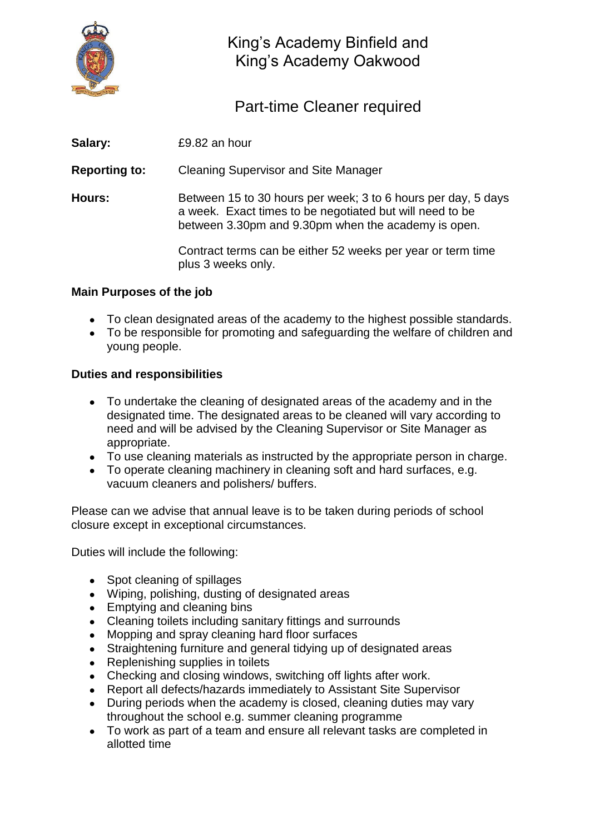

King's Academy Binfield and King's Academy Oakwood

Part-time Cleaner required

| Salary:              | £9.82 an hour                                                                                                                                                                    |
|----------------------|----------------------------------------------------------------------------------------------------------------------------------------------------------------------------------|
| <b>Reporting to:</b> | <b>Cleaning Supervisor and Site Manager</b>                                                                                                                                      |
| Hours:               | Between 15 to 30 hours per week; 3 to 6 hours per day, 5 days<br>a week. Exact times to be negotiated but will need to be<br>between 3.30pm and 9.30pm when the academy is open. |
|                      | Contract terms can be either 52 weeks per year or term time<br>plus 3 weeks only.                                                                                                |

## **Main Purposes of the job**

- To clean designated areas of the academy to the highest possible standards.
- To be responsible for promoting and safeguarding the welfare of children and young people.

## **Duties and responsibilities**

- To undertake the cleaning of designated areas of the academy and in the designated time. The designated areas to be cleaned will vary according to need and will be advised by the Cleaning Supervisor or Site Manager as appropriate.
- To use cleaning materials as instructed by the appropriate person in charge.
- To operate cleaning machinery in cleaning soft and hard surfaces, e.g. vacuum cleaners and polishers/ buffers.

Please can we advise that annual leave is to be taken during periods of school closure except in exceptional circumstances.

Duties will include the following:

- Spot cleaning of spillages
- Wiping, polishing, dusting of designated areas
- Emptying and cleaning bins
- Cleaning toilets including sanitary fittings and surrounds
- Mopping and spray cleaning hard floor surfaces
- Straightening furniture and general tidying up of designated areas
- Replenishing supplies in toilets
- Checking and closing windows, switching off lights after work.
- Report all defects/hazards immediately to Assistant Site Supervisor
- During periods when the academy is closed, cleaning duties may vary throughout the school e.g. summer cleaning programme
- To work as part of a team and ensure all relevant tasks are completed in allotted time